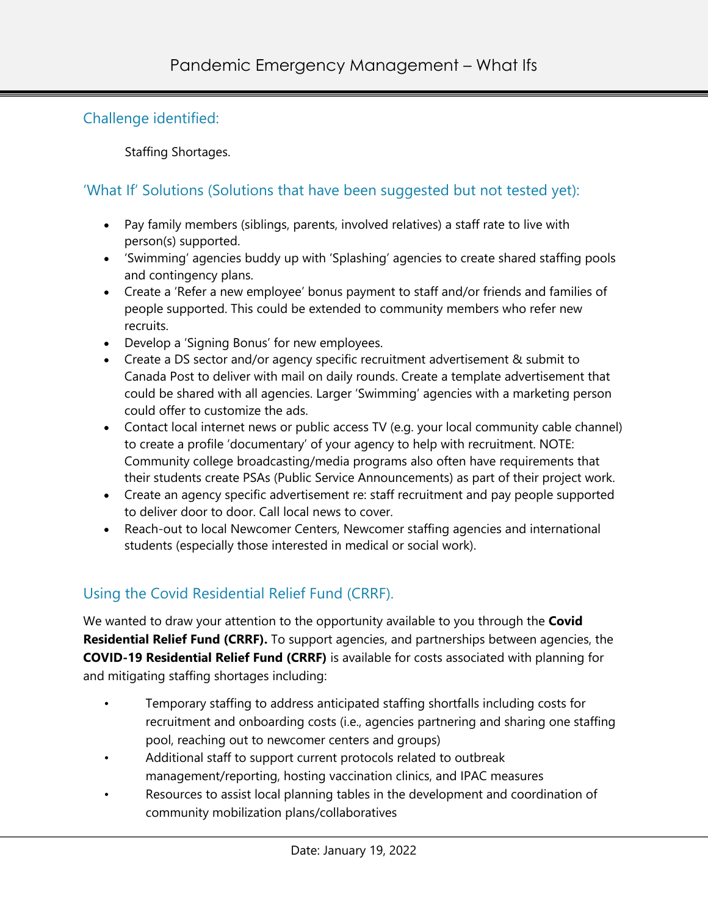## Challenge identified:

Staffing Shortages.

## 'What If' Solutions (Solutions that have been suggested but not tested yet):

- Pay family members (siblings, parents, involved relatives) a staff rate to live with person(s) supported.
- 'Swimming' agencies buddy up with 'Splashing' agencies to create shared staffing pools and contingency plans.
- Create a 'Refer a new employee' bonus payment to staff and/or friends and families of people supported. This could be extended to community members who refer new recruits.
- Develop a 'Signing Bonus' for new employees.
- Create a DS sector and/or agency specific recruitment advertisement & submit to Canada Post to deliver with mail on daily rounds. Create a template advertisement that could be shared with all agencies. Larger 'Swimming' agencies with a marketing person could offer to customize the ads.
- Contact local internet news or public access TV (e.g. your local community cable channel) to create a profile 'documentary' of your agency to help with recruitment. NOTE: Community college broadcasting/media programs also often have requirements that their students create PSAs (Public Service Announcements) as part of their project work.
- Create an agency specific advertisement re: staff recruitment and pay people supported to deliver door to door. Call local news to cover.
- Reach-out to local Newcomer Centers, Newcomer staffing agencies and international students (especially those interested in medical or social work).

## Using the Covid Residential Relief Fund (CRRF).

We wanted to draw your attention to the opportunity available to you through the **Covid Residential Relief Fund (CRRF).** To support agencies, and partnerships between agencies, the **COVID-19 Residential Relief Fund (CRRF)** is available for costs associated with planning for and mitigating staffing shortages including:   

- Temporary staffing to address anticipated staffing shortfalls including costs for recruitment and onboarding costs (i.e., agencies partnering and sharing one staffing pool, reaching out to newcomer centers and groups)
- Additional staff to support current protocols related to outbreak management/reporting, hosting vaccination clinics, and IPAC measures
- Resources to assist local planning tables in the development and coordination of community mobilization plans/collaboratives